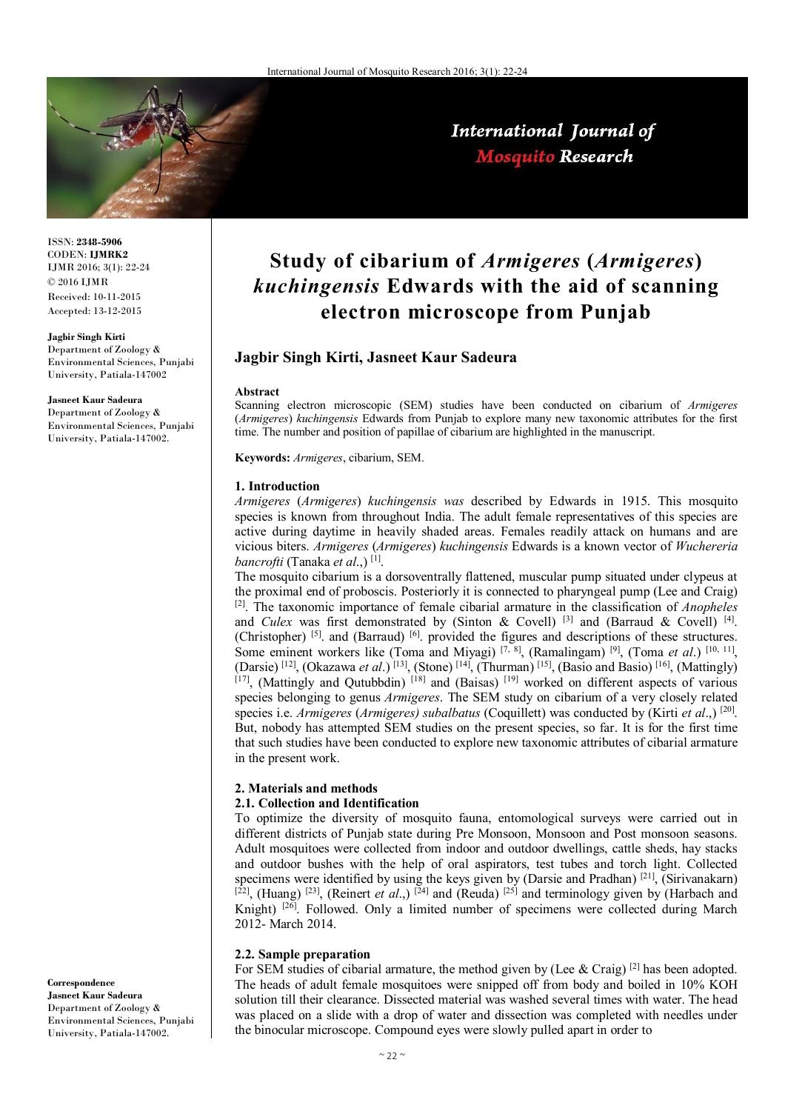

International Journal of **Mosquito Research** 

ISSN: **2348-5906** CODEN: **IJMRK2** IJMR 2016; 3(1): 22-24  $\odot$  2016 IJMR Received: 10-11-2015 Accepted: 13-12-2015

#### **Jagbir Singh Kirti**

Department of Zoology & Environmental Sciences, Punjabi University, Patiala-147002

**Jasneet Kaur Sadeura** 

Department of Zoology & Environmental Sciences, Punjabi University, Patiala-147002.

**Correspondence Jasneet Kaur Sadeura**  Department of Zoology & Environmental Sciences, Punjabi University, Patiala-147002.

# **Study of cibarium of** *Armigeres* **(***Armigeres***)**  *kuchingensis* **Edwards with the aid of scanning electron microscope from Punjab**

# **Jagbir Singh Kirti, Jasneet Kaur Sadeura**

#### **Abstract**

Scanning electron microscopic (SEM) studies have been conducted on cibarium of *Armigeres* (*Armigeres*) *kuchingensis* Edwards from Punjab to explore many new taxonomic attributes for the first time. The number and position of papillae of cibarium are highlighted in the manuscript.

**Keywords:** *Armigeres*, cibarium, SEM.

#### **1. Introduction**

*Armigeres* (*Armigeres*) *kuchingensis was* described by Edwards in 1915. This mosquito species is known from throughout India. The adult female representatives of this species are active during daytime in heavily shaded areas. Females readily attack on humans and are vicious biters. *Armigeres* (*Armigeres*) *kuchingensis* Edwards is a known vector of *Wuchereria bancrofti* (Tanaka *et al*.,) [1] .

The mosquito cibarium is a dorsoventrally flattened, muscular pump situated under clypeus at the proximal end of proboscis. Posteriorly it is connected to pharyngeal pump (Lee and Craig) [2]. The taxonomic importance of female cibarial armature in the classification of *Anopheles* and *Culex* was first demonstrated by (Sinton & Covell) <sup>[3]</sup> and (Barraud & Covell) <sup>[4]</sup>. (Christopher)<sup>[5]</sup>. and (Barraud)<sup>[6]</sup>. provided the figures and descriptions of these structures. Some eminent workers like (Toma and Miyagi)<sup>[7, 8]</sup>, (Ramalingam)<sup>[9]</sup>, (Toma *et al.*)<sup>[10, 11]</sup>, (Darsie)<sup>[12]</sup>, (Okazawa *et al*.)<sup>[13]</sup>, (Stone)<sup>[14]</sup>, (Thurman)<sup>[15]</sup>, (Basio and Basio)<sup>[16]</sup>, (Mattingly) [17], (Mattingly and Qutubbdin) [18] and (Baisas) [19] worked on different aspects of various species belonging to genus *Armigeres*. The SEM study on cibarium of a very closely related species i.e. *Armigeres* (*Armigeres) subalbatus* (Coquillett) was conducted by (Kirti *et al*.,) [20] . But, nobody has attempted SEM studies on the present species, so far. It is for the first time that such studies have been conducted to explore new taxonomic attributes of cibarial armature in the present work.

## **2. Materials and methods**

## **2.1. Collection and Identification**

To optimize the diversity of mosquito fauna, entomological surveys were carried out in different districts of Punjab state during Pre Monsoon, Monsoon and Post monsoon seasons. Adult mosquitoes were collected from indoor and outdoor dwellings, cattle sheds, hay stacks and outdoor bushes with the help of oral aspirators, test tubes and torch light. Collected specimens were identified by using the keys given by (Darsie and Pradhan)<sup>[21]</sup>, (Sirivanakarn) <sup>[22]</sup>, (Huang)<sup>[23]</sup>, (Reinert *et al.*,)<sup>[24]</sup> and (Reuda)<sup>[25]</sup> and terminology given by (Harbach and Knight)<sup>[26]</sup>. Followed. Only a limited number of specimens were collected during March 2012- March 2014.

#### **2.2. Sample preparation**

For SEM studies of cibarial armature, the method given by (Lee & Craig)  $^{[2]}$  has been adopted. The heads of adult female mosquitoes were snipped off from body and boiled in 10% KOH solution till their clearance. Dissected material was washed several times with water. The head was placed on a slide with a drop of water and dissection was completed with needles under the binocular microscope. Compound eyes were slowly pulled apart in order to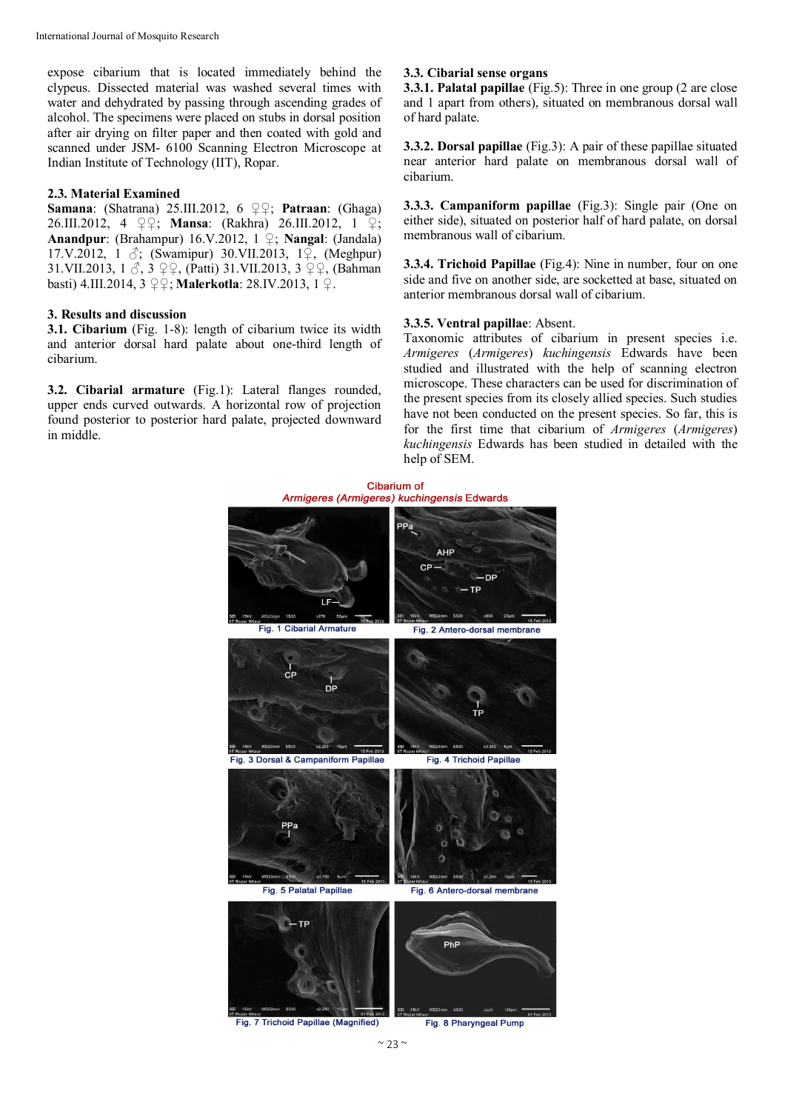expose cibarium that is located immediately behind the clypeus. Dissected material was washed several times with water and dehydrated by passing through ascending grades of alcohol. The specimens were placed on stubs in dorsal position after air drying on filter paper and then coated with gold and scanned under JSM- 6100 Scanning Electron Microscope at Indian Institute of Technology (IIT), Ropar.

## **2.3. Material Examined**

**Samana**: (Shatrana) 25.III.2012, 6 ♀♀; **Patraan**: (Ghaga) 26.III.2012, 4 ♀♀; **Mansa**: (Rakhra) 26.III.2012, 1 ♀; **Anandpur**: (Brahampur) 16.V.2012, 1 ♀; **Nangal**: (Jandala) 17.V.2012, 1 ♂; (Swamipur) 30.VII.2013, 1♀, (Meghpur) 31.VII.2013, 1 ♂, 3 ♀♀, (Patti) 31.VII.2013, 3 ♀♀, (Bahman basti) 4.III.2014, 3 ♀♀; **Malerkotla**: 28.IV.2013, 1 ♀.

#### **3. Results and discussion**

**3.1. Cibarium** (Fig. 1-8): length of cibarium twice its width and anterior dorsal hard palate about one-third length of cibarium.

**3.2. Cibarial armature** (Fig.1): Lateral flanges rounded, upper ends curved outwards. A horizontal row of projection found posterior to posterior hard palate, projected downward in middle.

#### **3.3. Cibarial sense organs**

**3.3.1. Palatal papillae** (Fig.5): Three in one group (2 are close and 1 apart from others), situated on membranous dorsal wall of hard palate.

**3.3.2. Dorsal papillae** (Fig.3): A pair of these papillae situated near anterior hard palate on membranous dorsal wall of cibarium.

**3.3.3. Campaniform papillae** (Fig.3): Single pair (One on either side), situated on posterior half of hard palate, on dorsal membranous wall of cibarium.

**3.3.4. Trichoid Papillae** (Fig.4): Nine in number, four on one side and five on another side, are socketted at base, situated on anterior membranous dorsal wall of cibarium.

#### **3.3.5. Ventral papillae**: Absent.

Taxonomic attributes of cibarium in present species i.e. *Armigeres* (*Armigeres*) *kuchingensis* Edwards have been studied and illustrated with the help of scanning electron microscope. These characters can be used for discrimination of the present species from its closely allied species. Such studies have not been conducted on the present species. So far, this is for the first time that cibarium of *Armigeres* (*Armigeres*) *kuchingensis* Edwards has been studied in detailed with the help of SEM.



Fig. 7 Trichoid Papillae (Magnified)